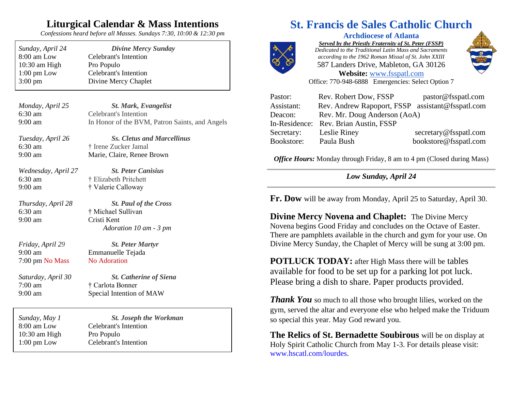### **Liturgical Calendar & Mass Intentions**

*Confessions heard before all Masses. Sundays 7:30, 10:00 & 12:30 pm*

| Sunday, April 24      | <b>Divine Mercy Sunday</b>   |
|-----------------------|------------------------------|
| 8:00 am Low           | Celebrant's Intention        |
| $10:30$ am High       | Pro Populo                   |
| $1:00 \text{ pm}$ Low | <b>Celebrant's Intention</b> |
| $3:00 \text{ pm}$     | Divine Mercy Chaplet         |

| Monday, April 25 | <b>St. Mark, Evangelist</b>                    |
|------------------|------------------------------------------------|
| 6:30 am          | Celebrant's Intention                          |
| 9:00 am          | In Honor of the BVM, Patron Saints, and Angels |

*Tuesday, April 26 Ss. Cletus and Marcellinus* 6:30 am † Irene Zucker Jamal 9:00 am Marie, Claire, Renee Brown

*Wednesday, April 27 St. Peter Canisius* 6:30 am † Elizabeth Pritchett 9:00 am † Valerie Calloway

6:30 am † Michael Sullivan 9:00 am Cristi Kent

*Thursday, April 28 St. Paul of the Cross Adoration 10 am - 3 pm*

*Friday, April 29 St. Peter Martyr* 9:00 am Emmanuelle Tejada 7:00 pm No Mass No Adoration

7:00 am † Carlota Bonner

*Saturday, April 30 St. Catherine of Siena* 9:00 am Special Intention of MAW

| Sunday, May 1         | <b>St. Joseph the Workman</b> |  |
|-----------------------|-------------------------------|--|
| 8:00 am Low           | Celebrant's Intention         |  |
| $10:30$ am High       | Pro Populo                    |  |
| $1:00 \text{ pm}$ Low | Celebrant's Intention         |  |

# **St. Francis de Sales Catholic Church**



**Archdiocese of Atlanta** *Served by the Priestly Fraternity of St. Peter (FSSP) Dedicated to the Traditional Latin Mass and Sacraments according to the 1962 Roman Missal of St. John XXIII* 587 Landers Drive, Mableton, GA 30126 **Website:** [www.fsspatl.com](http://www.fsspatl.com/)



Office: 770-948-6888 Emergencies: Select Option 7

| Pastor:       | Rev. Robert Dow, FSSP                            | pastor@fsspatl.com    |
|---------------|--------------------------------------------------|-----------------------|
| Assistant:    | Rev. Andrew Rapoport, FSSP assistant@fsspatl.com |                       |
| Deacon:       | Rev. Mr. Doug Anderson (AoA)                     |                       |
| In-Residence: | Rev. Brian Austin, FSSP                          |                       |
| Secretary:    | Leslie Riney                                     | secretary@fsspatl.com |
| Bookstore:    | Paula Bush                                       | bookstore@fsspatl.com |

*Office Hours:* Monday through Friday, 8 am to 4 pm (Closed during Mass)

*Low Sunday, April 24*

**Fr. Dow** will be away from Monday, April 25 to Saturday, April 30.

**Divine Mercy Novena and Chaplet:** The Divine Mercy Novena begins Good Friday and concludes on the Octave of Easter. There are pamphlets available in the church and gym for your use. On Divine Mercy Sunday, the Chaplet of Mercy will be sung at 3:00 pm.

**POTLUCK TODAY:** after High Mass there will be tables available for food to be set up for a parking lot pot luck. Please bring a dish to share. Paper products provided.

*Thank* You so much to all those who brought lilies, worked on the gym, served the altar and everyone else who helped make the Triduum so special this year. May God reward you.

**The Relics of St. Bernadette Soubirous** will be on display at Holy Spirit Catholic Church from May 1-3. For details please visit: www.hscatl.com/lourdes.